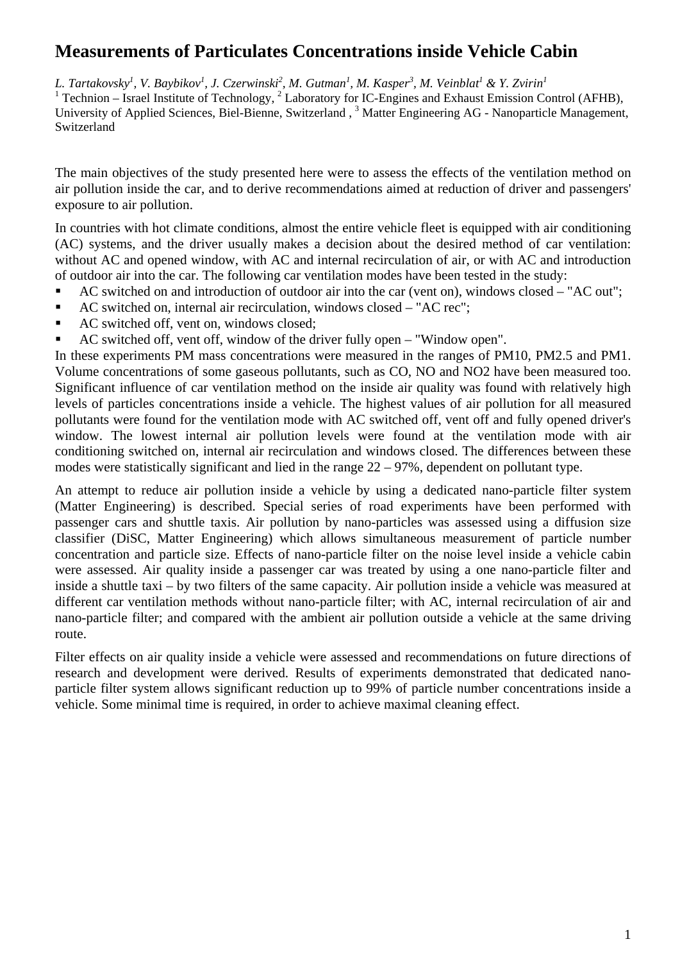# **Measurements of Particulates Concentrations inside Vehicle Cabin**

L. Tartakovsky<sup>1</sup>, V. Baybikov<sup>1</sup>, J. Czerwinski<sup>2</sup>, M. Gutman<sup>1</sup>, M. Kasper<sup>3</sup>, M. Veinblat<sup>1</sup> & Y. Zvirin<sup>1</sup> <sup>1</sup> Technion – Israel Institute of Technology, <sup>2</sup> Laboratory for IC-Engines and Exhaust Emission Control (AFHB), University of Applied Sciences, Biel-Bienne, Switzerland, <sup>3</sup> Matter Engineering AG - Nanoparticle Management, Switzerland

The main objectives of the study presented here were to assess the effects of the ventilation method on air pollution inside the car, and to derive recommendations aimed at reduction of driver and passengers' exposure to air pollution.

In countries with hot climate conditions, almost the entire vehicle fleet is equipped with air conditioning (AC) systems, and the driver usually makes a decision about the desired method of car ventilation: without AC and opened window, with AC and internal recirculation of air, or with AC and introduction of outdoor air into the car. The following car ventilation modes have been tested in the study:

- AC switched on and introduction of outdoor air into the car (vent on), windows closed "AC out";
- AC switched on, internal air recirculation, windows closed "AC rec";
- AC switched off, vent on, windows closed;
- AC switched off, vent off, window of the driver fully open "Window open".

In these experiments PM mass concentrations were measured in the ranges of PM10, PM2.5 and PM1. Volume concentrations of some gaseous pollutants, such as CO, NO and NO2 have been measured too. Significant influence of car ventilation method on the inside air quality was found with relatively high levels of particles concentrations inside a vehicle. The highest values of air pollution for all measured pollutants were found for the ventilation mode with AC switched off, vent off and fully opened driver's window. The lowest internal air pollution levels were found at the ventilation mode with air conditioning switched on, internal air recirculation and windows closed. The differences between these modes were statistically significant and lied in the range 22 – 97%, dependent on pollutant type.

An attempt to reduce air pollution inside a vehicle by using a dedicated nano-particle filter system (Matter Engineering) is described. Special series of road experiments have been performed with passenger cars and shuttle taxis. Air pollution by nano-particles was assessed using a diffusion size classifier (DiSC, Matter Engineering) which allows simultaneous measurement of particle number concentration and particle size. Effects of nano-particle filter on the noise level inside a vehicle cabin were assessed. Air quality inside a passenger car was treated by using a one nano-particle filter and inside a shuttle taxi – by two filters of the same capacity. Air pollution inside a vehicle was measured at different car ventilation methods without nano-particle filter; with AC, internal recirculation of air and nano-particle filter; and compared with the ambient air pollution outside a vehicle at the same driving route.

Filter effects on air quality inside a vehicle were assessed and recommendations on future directions of research and development were derived. Results of experiments demonstrated that dedicated nanoparticle filter system allows significant reduction up to 99% of particle number concentrations inside a vehicle. Some minimal time is required, in order to achieve maximal cleaning effect.